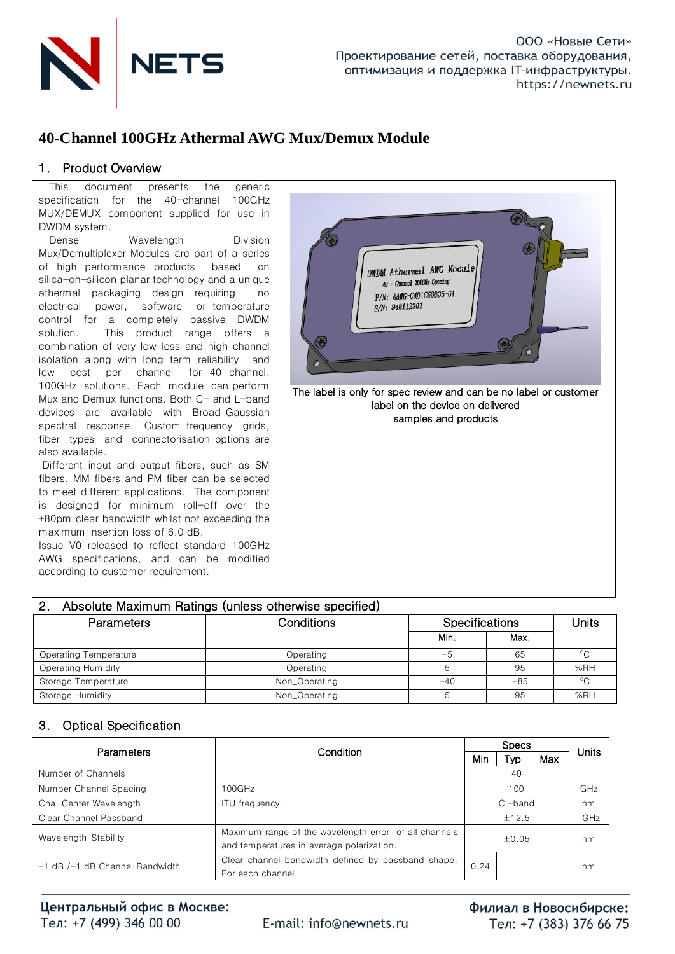

# **40-Channel 100GHz Athermal AWG Mux/Demux Module**

## 1. Product Overview

This document presents the generic specification for the 40-channel 100GHz MUX/DEMUX component supplied for use in DWDM system.

Dense Wavelength Division Mux/Demultiplexer Modules are part of a series of high performance products based on silica-on-silicon planar technology and a unique athermal packaging design requiring no electrical power, software or temperature control for a completely passive DWDM solution. This product range offers a combination of very low loss and high channel isolation along with long term reliability and low cost per channel for 40 channel, 100GHz solutions. Each module can perform Mux and Demux functions. Both C- and L-band devices are available with Broad Gaussian spectral response. Custom frequency grids, fiber types and connectorisation options are also available.

Different input and output fibers, such as SM fibers, MM fibers and PM fiber can be selected to meet different applications. The component is designed for minimum roll-off over the 80pm clear bandwidth whilst not exceeding the maximum insertion loss of 6.0 dB.

Issue V0 released to reflect standard 100GHz AWG specifications, and can be modified according to customer requirement.



## 2. Absolute Maximum Ratings (unless otherwise specified)

| <b>Parameters</b>     | Conditions    |       | <b>Specifications</b> |         |  |  |
|-----------------------|---------------|-------|-----------------------|---------|--|--|
|                       |               | Min.  | Max.                  |         |  |  |
| Operating Temperature | Operating     | ÷     | 65                    | $\circ$ |  |  |
| Operating Humidity    | Operating     |       | 95                    | %RH     |  |  |
| Storage Temperature   | Non_Operating | $-40$ | $+85$                 | $\circ$ |  |  |
| Storage Humidity      | Non_Operating |       | 95                    | %RH     |  |  |

## 3. Optical Specification

|                                    | Condition                                                                                          |           | Units |     |     |
|------------------------------------|----------------------------------------------------------------------------------------------------|-----------|-------|-----|-----|
| Parameters                         |                                                                                                    | Min       | Typ   | Max |     |
| Number of Channels                 |                                                                                                    |           |       |     |     |
| Number Channel Spacing             | 100GHz                                                                                             | 100       |       |     | GHz |
| Cha. Center Wavelength             | ITU frequency.                                                                                     | $C$ -band |       |     | nm  |
| Clear Channel Passband             |                                                                                                    | ±12.5     |       |     | GHz |
| Wavelength Stability               | Maximum range of the wavelength error of all channels<br>and temperatures in average polarization. | ±0.05     |       |     | nm  |
| $-1$ dB $/-1$ dB Channel Bandwidth | Clear channel bandwidth defined by passband shape.<br>For each channel                             |           |       |     | nm  |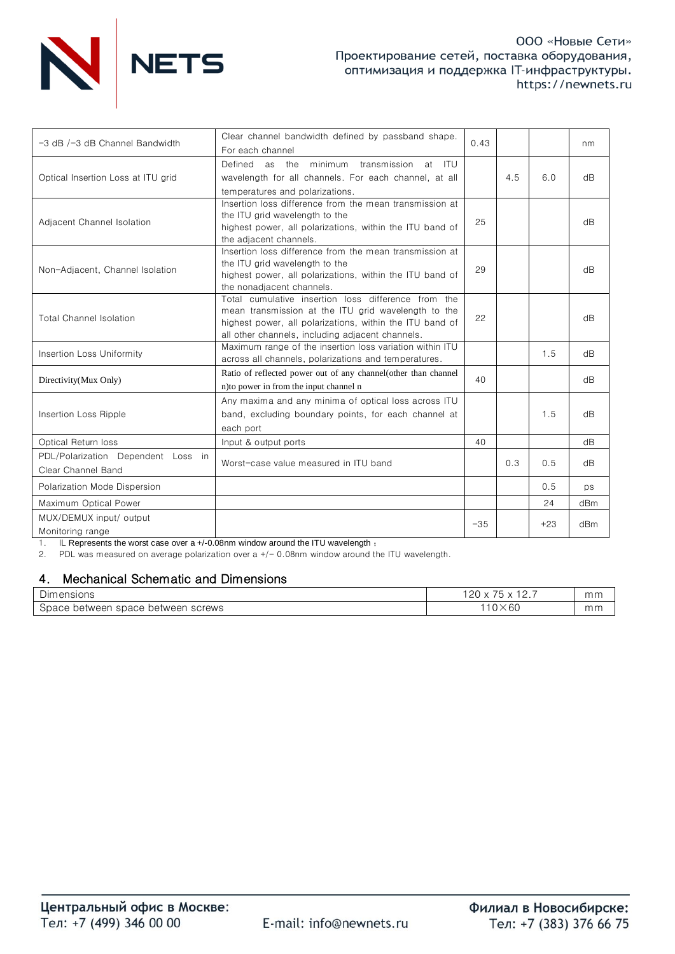

| -3 dB /-3 dB Channel Bandwidth                           | Clear channel bandwidth defined by passband shape.<br>For each channel                                                                                                                                                     | 0.43  |     |       | nm  |
|----------------------------------------------------------|----------------------------------------------------------------------------------------------------------------------------------------------------------------------------------------------------------------------------|-------|-----|-------|-----|
| Optical Insertion Loss at ITU grid                       | minimum<br>Defined as<br>the<br>transmission<br>- ITU<br>at<br>wavelength for all channels. For each channel, at all<br>temperatures and polarizations.                                                                    |       | 4.5 | 6.0   | dB  |
| Adjacent Channel Isolation                               | Insertion loss difference from the mean transmission at<br>the ITU grid wavelength to the<br>highest power, all polarizations, within the ITU band of<br>the adjacent channels.                                            | 25    |     |       | dB  |
| Non-Adjacent, Channel Isolation                          | Insertion loss difference from the mean transmission at<br>the ITU grid wavelength to the<br>highest power, all polarizations, within the ITU band of<br>the nonadjacent channels.                                         | 29    |     |       | dB  |
| <b>Total Channel Isolation</b>                           | Total cumulative insertion loss difference from the<br>mean transmission at the ITU grid wavelength to the<br>highest power, all polarizations, within the ITU band of<br>all other channels, including adjacent channels. | 22    |     |       | dB  |
| Insertion Loss Uniformity                                | Maximum range of the insertion loss variation within ITU<br>across all channels, polarizations and temperatures.                                                                                                           |       |     | 1.5   | dB  |
| Directivity(Mux Only)                                    | Ratio of reflected power out of any channel (other than channel<br>n) to power in from the input channel n                                                                                                                 | 40    |     |       | dB  |
| Insertion Loss Ripple                                    | Any maxima and any minima of optical loss across ITU<br>band, excluding boundary points, for each channel at<br>each port                                                                                                  |       |     | 1.5   | dB  |
| Optical Return loss                                      | Input & output ports                                                                                                                                                                                                       | 40    |     |       | dB  |
| PDL/Polarization Dependent Loss in<br>Clear Channel Band | Worst-case value measured in ITU band                                                                                                                                                                                      |       | 0.3 | 0.5   | dB  |
| Polarization Mode Dispersion                             |                                                                                                                                                                                                                            |       |     | 0.5   | ps  |
| Maximum Optical Power                                    |                                                                                                                                                                                                                            |       |     | 24    | dBm |
| MUX/DEMUX input/ output<br>Monitoring range              |                                                                                                                                                                                                                            | $-35$ |     | $+23$ | dBm |

1. IL Represents the worst case over a +/-0.08nm window around the ITU wavelength ;

2. PDL was measured on average polarization over a +/- 0.08nm window around the ITU wavelength.

## 4. Mechanical Schematic and Dimensions

| $\overline{\phantom{a}}$<br>Dimensions           | $- -$<br>.20<br>∼<br><u>.</u> . | mm |
|--------------------------------------------------|---------------------------------|----|
| space<br>screws<br>, between<br>between<br>Space | $10\times 60$                   | mm |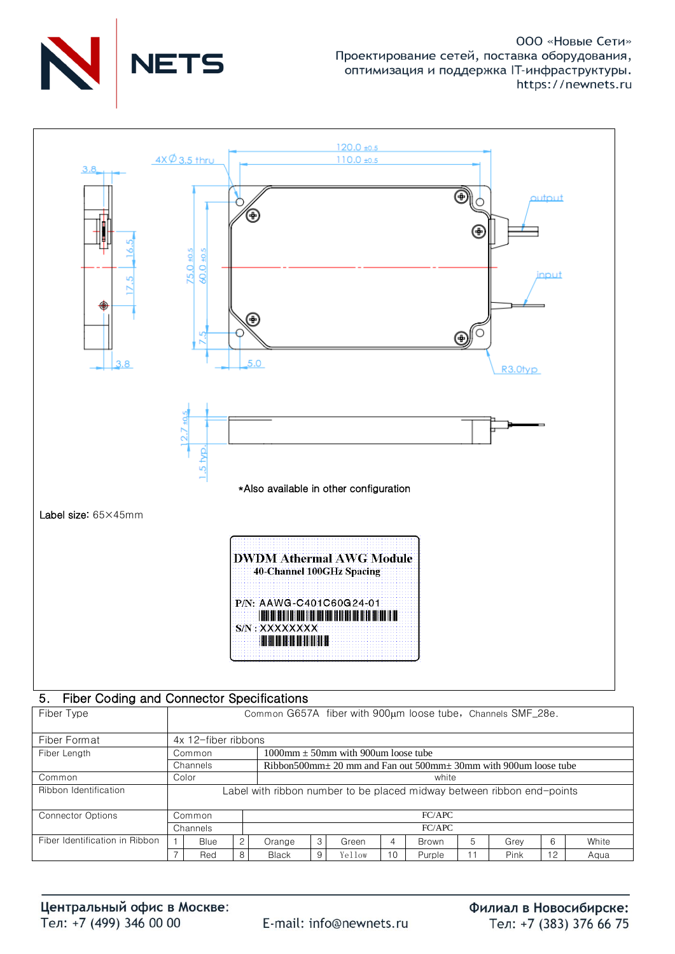



#### Fiber Coding and Connector Specifications 5.

| Fiber Type                     | Common G657A fiber with 900um loose tube, Channels SMF_28e. |                                                                        |                |                                                                            |   |        |    |              |   |      |    |       |
|--------------------------------|-------------------------------------------------------------|------------------------------------------------------------------------|----------------|----------------------------------------------------------------------------|---|--------|----|--------------|---|------|----|-------|
| Fiber Format                   |                                                             | 4x 12-fiber ribbons                                                    |                |                                                                            |   |        |    |              |   |      |    |       |
| Fiber Length                   |                                                             | 1000mm $\pm$ 50mm with 900um loose tube<br>Common                      |                |                                                                            |   |        |    |              |   |      |    |       |
|                                |                                                             | Channels                                                               |                | Ribbon500mm $\pm$ 20 mm and Fan out 500mm $\pm$ 30mm with 900um loose tube |   |        |    |              |   |      |    |       |
| Common                         |                                                             | Color<br>white                                                         |                |                                                                            |   |        |    |              |   |      |    |       |
| Ribbon Identification          |                                                             | Label with ribbon number to be placed midway between ribbon end-points |                |                                                                            |   |        |    |              |   |      |    |       |
| <b>Connector Options</b>       |                                                             | Common                                                                 |                | FC/APC                                                                     |   |        |    |              |   |      |    |       |
|                                |                                                             | Channels                                                               |                | FC/APC                                                                     |   |        |    |              |   |      |    |       |
| Fiber Identification in Ribbon |                                                             | <b>Blue</b>                                                            | $\overline{2}$ | Orange                                                                     | 3 | Green  | 4  | <b>Brown</b> | 5 | Grev | 6  | White |
|                                |                                                             | Red                                                                    | 8              | <b>Black</b>                                                               | 9 | Yellow | 10 | Purple       |   | Pink | 12 | Aqua  |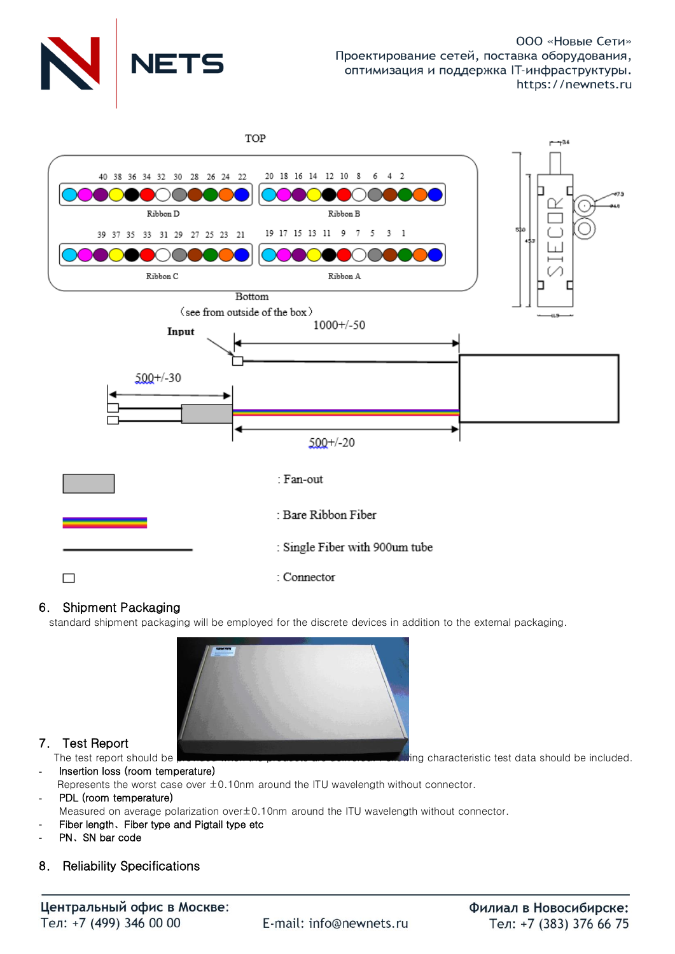



## 6. Shipment Packaging

standard shipment packaging will be employed for the discrete devices in addition to the external packaging.



## 7. Test Report

The test report should be provided when the products are demonstrated wing characteristic test data should be included.

- Insertion loss (room temperature) Represents the worst case over ±0.10nm around the ITU wavelength without connector. PDL (room temperature)
- Measured on average polarization over±0.10nm around the ITU wavelength without connector.
- Fiber length、Fiber type and Pigtail type etc
- PN、SN bar code
- 8. Reliability Specifications